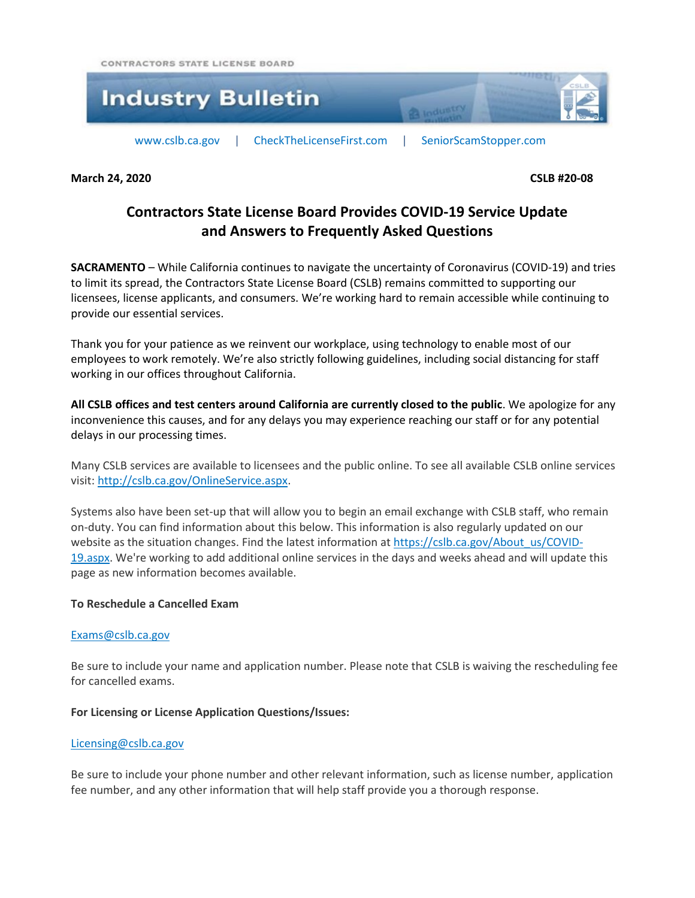CONTRACTORS STATE LICENSE BOARD



**March 24, 2020 CSLB #20-08**

# **Contractors State License Board Provides COVID-19 Service Update and Answers to Frequently Asked Questions**

**SACRAMENTO** – While California continues to navigate the uncertainty of Coronavirus (COVID-19) and tries to limit its spread, the Contractors State License Board (CSLB) remains committed to supporting our licensees, license applicants, and consumers. We're working hard to remain accessible while continuing to provide our essential services.

Thank you for your patience as we reinvent our workplace, using technology to enable most of our employees to work remotely. We're also strictly following guidelines, including social distancing for staff working in our offices throughout California.

**All CSLB offices and test centers around California are currently closed to the public**. We apologize for any inconvenience this causes, and for any delays you may experience reaching our staff or for any potential delays in our processing times.

Many CSLB services are available to licensees and the public online. To see all available CSLB online services visit: [http://cslb.ca.gov/OnlineService.aspx.](http://cslb.ca.gov/OnlineService.aspx)

Systems also have been set-up that will allow you to begin an email exchange with CSLB staff, who remain on-duty. You can find information about this below. This information is also regularly updated on our website as the situation changes. Find the latest information a[t https://cslb.ca.gov/About\\_us/COVID-](https://cslb.ca.gov/About_us/COVID-19.aspx)[19.aspx.](https://cslb.ca.gov/About_us/COVID-19.aspx) We're working to add additional online services in the days and weeks ahead and will update this page as new information becomes available.

# **To Reschedule a Cancelled Exam**

# [Exams@cslb.ca.gov](mailto:Exams@cslb.ca.gov?subject=Subject:%20Exam%20Reschedule%20(Website))

Be sure to include your name and application number. Please note that CSLB is waiving the rescheduling fee for cancelled exams.

# **For Licensing or License Application Questions/Issues:**

#### [Licensing@cslb.ca.gov](mailto:Licensing@cslb.ca.gov?subject=Licensing%20Question%20(Website))

Be sure to include your phone number and other relevant information, such as license number, application fee number, and any other information that will help staff provide you a thorough response.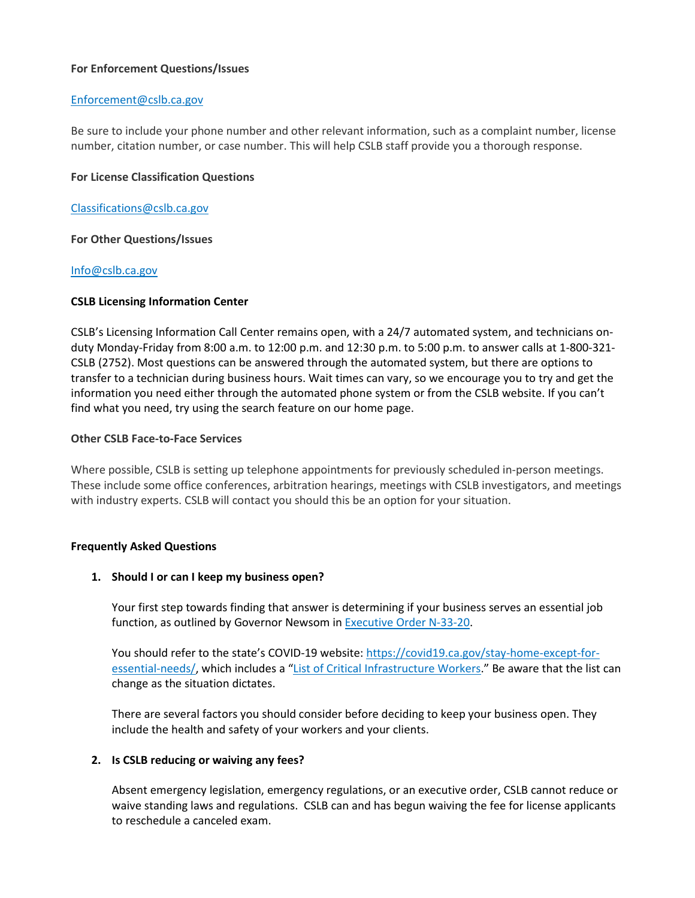# **For Enforcement Questions/Issues**

## [Enforcement@cslb.ca.gov](mailto:Enforcement@cslb.ca.gov?subject=Enforcement%20Question%20(Website))

Be sure to include your phone number and other relevant information, such as a complaint number, license number, citation number, or case number. This will help CSLB staff provide you a thorough response.

## **For License Classification Questions**

#### [Classifications@cslb.ca.gov](mailto:Classifications@cslb.ca.gov?subject=Classifications%20Question%20(Website))

#### **For Other Questions/Issues**

# [Info@cslb.ca.gov](mailto:Info@cslb.ca.gov?subject=Other%20Info%20Question%20(Website))

#### **CSLB Licensing Information Center**

CSLB's Licensing Information Call Center remains open, with a 24/7 automated system, and technicians onduty Monday-Friday from 8:00 a.m. to 12:00 p.m. and 12:30 p.m. to 5:00 p.m. to answer calls at 1-800-321- CSLB (2752). Most questions can be answered through the automated system, but there are options to transfer to a technician during business hours. Wait times can vary, so we encourage you to try and get the information you need either through the automated phone system or from the CSLB website. If you can't find what you need, try using the search feature on our home page.

#### **Other CSLB Face-to-Face Services**

Where possible, CSLB is setting up telephone appointments for previously scheduled in-person meetings. These include some office conferences, arbitration hearings, meetings with CSLB investigators, and meetings with industry experts. CSLB will contact you should this be an option for your situation.

# **Frequently Asked Questions**

# **1. Should I or can I keep my business open?**

Your first step towards finding that answer is determining if your business serves an essential job function, as outlined by Governor Newsom in [Executive](https://covid19.ca.gov/img/Executive-Order-N-33-20.pdf) Order N-33-20.

You should refer to the state's COVID-19 website: [https://covid19.ca.gov/stay-home-except-for](https://covid19.ca.gov/stay-home-except-for-essential-needs/)[essential-needs/,](https://covid19.ca.gov/stay-home-except-for-essential-needs/) which includes a "List of Critical [Infrastructure](http://covid19.ca.gov/img/EssentialCriticalInfrastructureWorkers.pdf) Workers." Be aware that the list can change as the situation dictates.

There are several factors you should consider before deciding to keep your business open. They include the health and safety of your workers and your clients.

# **2. Is CSLB reducing or waiving any fees?**

Absent emergency legislation, emergency regulations, or an executive order, CSLB cannot reduce or waive standing laws and regulations. CSLB can and has begun waiving the fee for license applicants to reschedule a canceled exam.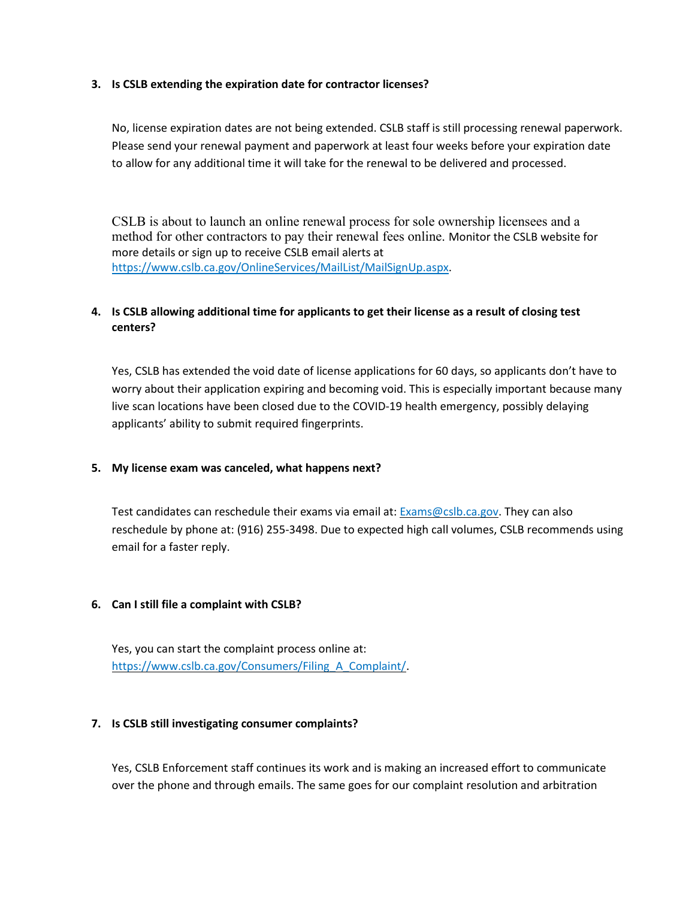# **3. Is CSLB extending the expiration date for contractor licenses?**

No, license expiration dates are not being extended. CSLB staff is still processing renewal paperwork. Please send your renewal payment and paperwork at least four weeks before your expiration date to allow for any additional time it will take for the renewal to be delivered and processed.

CSLB is about to launch an online renewal process for sole ownership licensees and a method for other contractors to pay their renewal fees online. Monitor the CSLB website for more details or sign up to receive CSLB email alerts at [https://www.cslb.ca.gov/OnlineServices/MailList/MailSignUp.aspx.](https://www.cslb.ca.gov/OnlineServices/MailList/MailSignUp.aspx)

# 4. Is CSLB allowing additional time for applicants to get their license as a result of closing test **centers?**

Yes, CSLB has extended the void date of license applications for 60 days, so applicants don't have to worry about their application expiring and becoming void. This is especially important because many live scan locations have been closed due to the COVID-19 health emergency, possibly delaying applicants' ability to submit required fingerprints.

#### **5. My license exam was canceled, what happens next?**

Test candidates can reschedule their exams via email at: [Exams@cslb.ca.gov.](mailto:Exams@cslb.ca.gov) They can also reschedule by phone at: (916) 255-3498. Due to expected high call volumes, CSLB recommends using email for a faster reply.

# **6. Can I still file a complaint with CSLB?**

Yes, you can start the complaint process online at: [https://www.cslb.ca.gov/Consumers/Filing\\_A\\_Complaint/.](https://www.cslb.ca.gov/Consumers/Filing_A_Complaint/)

#### **7. Is CSLB still investigating consumer complaints?**

Yes, CSLB Enforcement staff continues its work and is making an increased effort to communicate over the phone and through emails. The same goes for our complaint resolution and arbitration